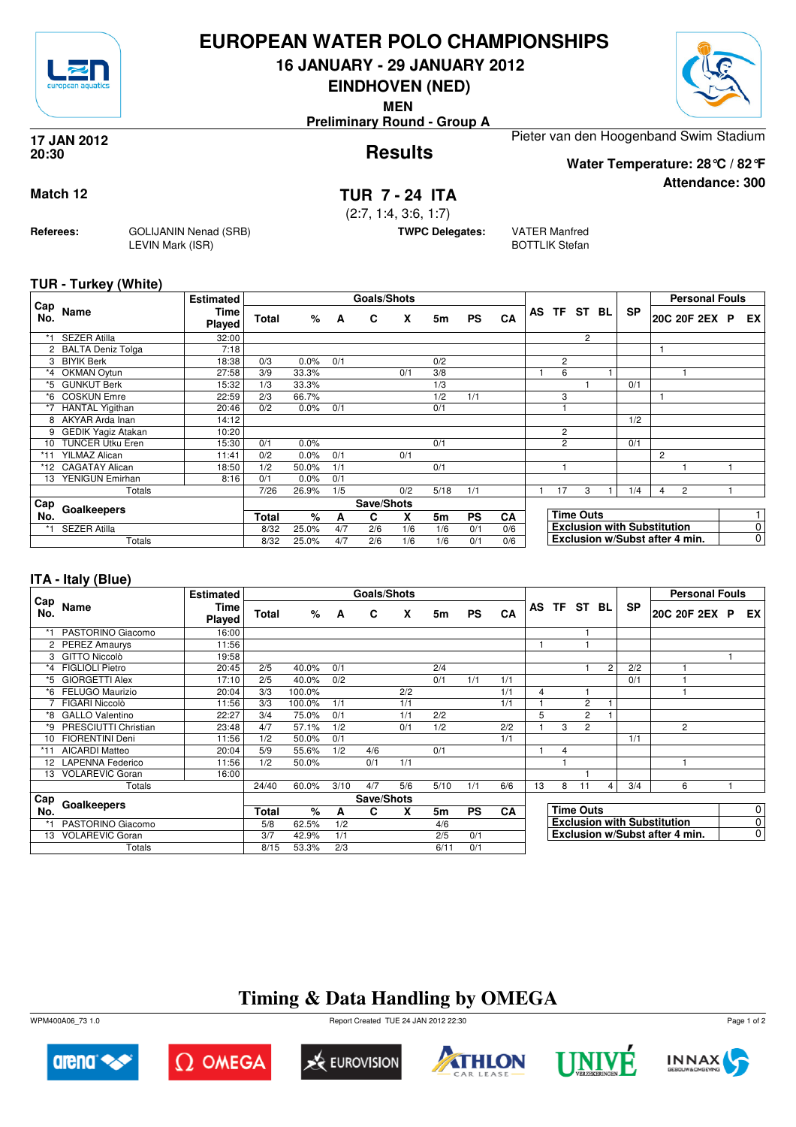

## **EUROPEAN WATER POLO CHAMPIONSHIPS**

**16 JANUARY - 29 JANUARY 2012**

**EINDHOVEN (NED)**

**MEN**

**Preliminary Round - Group A**

#### **Results 17 JAN 2012 20:30**

Pieter van den Hoogenband Swim Stadium

**Water Temperature: 28°C / 82°F**

**Attendance: 300**

**Match 12 TUR 7 - 24 ITA**

(2:7, 1:4, 3:6, 1:7)

**TWPC Delegates:** VATER Manfred

BOTTLIK Stefan

**TUR - Turkey (White)**

**Referees:** GOLIJANIN Nenad (SRB)

LEVIN Mark (ISR)

| Cap   |                           | <b>Estimated</b> |       |         |     | Goals/Shots |     |      |           |     |                |                  |     |                                    |                | <b>Personal Fouls</b>          |             |
|-------|---------------------------|------------------|-------|---------|-----|-------------|-----|------|-----------|-----|----------------|------------------|-----|------------------------------------|----------------|--------------------------------|-------------|
| No.   | Name                      | Time<br>Played   | Total | %       | A   | C           | X   | 5m   | <b>PS</b> | CA  |                | AS TF ST         | BL. | <b>SP</b>                          |                | 20C 20F 2EX P                  | EX          |
| $*1$  | <b>SEZER Atilla</b>       | 32:00            |       |         |     |             |     |      |           |     |                | 2                |     |                                    |                |                                |             |
|       | 2 BALTA Deniz Tolga       | 7:18             |       |         |     |             |     |      |           |     |                |                  |     |                                    |                |                                |             |
| 3     | <b>BIYIK Berk</b>         | 18:38            | 0/3   | 0.0%    | 0/1 |             |     | 0/2  |           |     | $\overline{2}$ |                  |     |                                    |                |                                |             |
| *4    | OKMAN Oytun               | 27:58            | 3/9   | 33.3%   |     |             | 0/1 | 3/8  |           |     | 6              |                  |     |                                    |                |                                |             |
| *5    | <b>GUNKUT Berk</b>        | 15:32            | 1/3   | 33.3%   |     |             |     | 1/3  |           |     |                |                  |     | 0/1                                |                |                                |             |
| *6    | <b>COSKUN Emre</b>        | 22:59            | 2/3   | 66.7%   |     |             |     | 1/2  | 1/1       |     | 3              |                  |     |                                    |                |                                |             |
|       | <b>HANTAL Yigithan</b>    | 20:46            | 0/2   | $0.0\%$ | 0/1 |             |     | 0/1  |           |     |                |                  |     |                                    |                |                                |             |
|       | 8 AKYAR Arda Inan         | 14:12            |       |         |     |             |     |      |           |     |                |                  |     | 1/2                                |                |                                |             |
| 9     | <b>GEDIK Yagiz Atakan</b> | 10:20            |       |         |     |             |     |      |           |     | $\overline{2}$ |                  |     |                                    |                |                                |             |
| 10    | <b>TUNCER Utku Eren</b>   | 15:30            | 0/1   | 0.0%    |     |             |     | 0/1  |           |     | $\overline{2}$ |                  |     | 0/1                                |                |                                |             |
| $*11$ | <b>YILMAZ Alican</b>      | 11:41            | 0/2   | $0.0\%$ | 0/1 |             | 0/1 |      |           |     |                |                  |     |                                    | $\overline{2}$ |                                |             |
| *12   | CAGATAY Alican            | 18:50            | 1/2   | 50.0%   | 1/1 |             |     | 0/1  |           |     |                |                  |     |                                    |                |                                |             |
| 13    | YENIGUN Emirhan           | 8:16             | 0/1   | 0.0%    | 0/1 |             |     |      |           |     |                |                  |     |                                    |                |                                |             |
|       | Totals                    |                  | 7/26  | 26.9%   | 1/5 |             | 0/2 | 5/18 | 1/1       |     | 17             | 3                |     | 1/4                                | 4              | $\overline{c}$                 |             |
| Cap   |                           |                  |       |         |     | Save/Shots  |     |      |           |     |                |                  |     |                                    |                |                                |             |
| No.   | Goalkeepers               |                  | Total | %       | A   | C.          | X   | 5m   | <b>PS</b> | CA  |                | <b>Time Outs</b> |     |                                    |                |                                |             |
| *1    | <b>SEZER Atilla</b>       |                  | 8/32  | 25.0%   | 4/7 | 2/6         | 1/6 | 1/6  | 0/1       | 0/6 |                |                  |     | <b>Exclusion with Substitution</b> |                |                                | 0           |
|       | Totals                    |                  | 8/32  | 25.0%   | 4/7 | 2/6         | 1/6 | 1/6  | 0/1       | 0/6 |                |                  |     |                                    |                | Exclusion w/Subst after 4 min. | $\mathbf 0$ |

### **ITA - Italy (Blue)**

|            |                        | <b>Estimated</b>      |       |        |      | Goals/Shots |     |                |           |           |    |   |                  |                |           | <b>Personal Fouls</b>              |             |
|------------|------------------------|-----------------------|-------|--------|------|-------------|-----|----------------|-----------|-----------|----|---|------------------|----------------|-----------|------------------------------------|-------------|
| Cap<br>No. | Name                   | Time<br><b>Played</b> | Total | %      | A    | C           | X   | 5m             | <b>PS</b> | CA        | AS |   | TF ST            | BL             | <b>SP</b> | 20C 20F 2EX P                      | EX          |
|            | PASTORINO Giacomo      | 16:00                 |       |        |      |             |     |                |           |           |    |   |                  |                |           |                                    |             |
|            | 2 PEREZ Amaurys        | 11:56                 |       |        |      |             |     |                |           |           |    |   |                  |                |           |                                    |             |
| 3          | GITTO Niccolò          | 19:58                 |       |        |      |             |     |                |           |           |    |   |                  |                |           |                                    |             |
| *4         | <b>FIGLIOLI Pietro</b> | 20:45                 | 2/5   | 40.0%  | 0/1  |             |     | 2/4            |           |           |    |   |                  | $\overline{2}$ | 2/2       |                                    |             |
| *5         | <b>GIORGETTI Alex</b>  | 17:10                 | 2/5   | 40.0%  | 0/2  |             |     | 0/1            | 1/1       | 1/1       |    |   |                  |                | 0/1       |                                    |             |
| *6         | FELUGO Maurizio        | 20:04                 | 3/3   | 100.0% |      |             | 2/2 |                |           | 1/1       | 4  |   |                  |                |           |                                    |             |
|            | FIGARI Niccolò         | 11:56                 | 3/3   | 100.0% | 1/1  |             | 1/1 |                |           | 1/1       |    |   | $\overline{c}$   |                |           |                                    |             |
| *8         | <b>GALLO Valentino</b> | 22:27                 | 3/4   | 75.0%  | 0/1  |             | 1/1 | 2/2            |           |           | 5  |   | 2                |                |           |                                    |             |
| *9         | PRESCIUTTI Christian   | 23:48                 | 4/7   | 57.1%  | 1/2  |             | 0/1 | 1/2            |           | 2/2       |    | 3 | $\overline{c}$   |                |           | $\overline{2}$                     |             |
| 10         | <b>FIORENTINI Deni</b> | 11:56                 | 1/2   | 50.0%  | 0/1  |             |     |                |           | 1/1       |    |   |                  |                | 1/1       |                                    |             |
|            | AICARDI Matteo         | 20:04                 | 5/9   | 55.6%  | 1/2  | 4/6         |     | 0/1            |           |           |    | 4 |                  |                |           |                                    |             |
|            | 12 LAPENNA Federico    | 11:56                 | 1/2   | 50.0%  |      | 0/1         | 1/1 |                |           |           |    |   |                  |                |           |                                    |             |
| 13         | <b>VOLAREVIC Goran</b> | 16:00                 |       |        |      |             |     |                |           |           |    |   |                  |                |           |                                    |             |
|            | Totals                 |                       | 24/40 | 60.0%  | 3/10 | 4/7         | 5/6 | 5/10           | 1/1       | 6/6       | 13 | 8 | 11               | 4              | 3/4       | 6                                  |             |
| Cap        |                        |                       |       |        |      | Save/Shots  |     |                |           |           |    |   |                  |                |           |                                    |             |
| No.        | Goalkeepers            |                       | Total | %      | A    | C           | X   | 5 <sub>m</sub> | <b>PS</b> | <b>CA</b> |    |   | <b>Time Outs</b> |                |           |                                    | 0           |
|            | PASTORINO Giacomo      |                       | 5/8   | 62.5%  | 1/2  |             |     | 4/6            |           |           |    |   |                  |                |           | <b>Exclusion with Substitution</b> | 0           |
| 13         | <b>VOLAREVIC Goran</b> |                       | 3/7   | 42.9%  | 1/1  |             |     | 2/5            | 0/1       |           |    |   |                  |                |           | Exclusion w/Subst after 4 min.     | $\mathbf 0$ |
|            | Totals                 |                       | 8/15  | 53.3%  | 2/3  |             |     | 6/11           | 0/1       |           |    |   |                  |                |           |                                    |             |

# **Timing & Data Handling by OMEGA**

WPM400A06\_73 1.0 Report Created TUE 24 JAN 2012 22:30